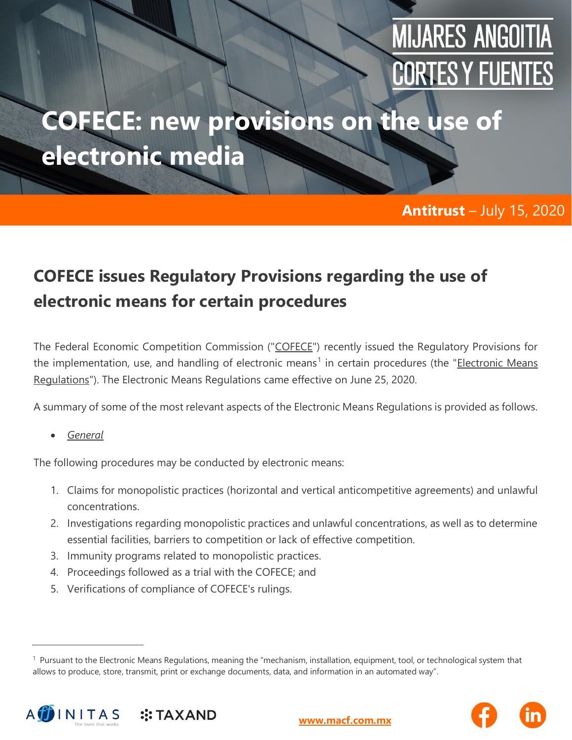# **MIJARES ANGOITIA CORTES Y FUENTES**

## **COFECE: new provisions on the use of electronic media**

#### **Antitrust** – July 15, 2020

### **COFECE issues Regulatory Provisions regarding the use of electronic means for certain procedures**

The Federal Economic Competition Commission ("COFECE") recently issued the Regulatory Provisions for the implementation, use, and handling of electronic means<sup>1</sup> in certain procedures (the "Electronic Means Regulations"). The Electronic Means Regulations came effective on June 25, 2020.

A summary of some of the most relevant aspects of the Electronic Means Regulations is provided as follows.

• *General*

The following procedures may be conducted by electronic means:

- 1. Claims for monopolistic practices (horizontal and vertical anticompetitive agreements) and unlawful concentrations.
- 2. Investigations regarding monopolistic practices and unlawful concentrations, as well as to determine essential facilities, barriers to competition or lack of effective competition.
- 3. Immunity programs related to monopolistic practices.
- 4. Proceedings followed as a trial with the COFECE; and
- 5. Verifications of compliance of COFECE's rulings.

<sup>&</sup>lt;sup>1</sup> Pursuant to the Electronic Means Regulations, meaning the "mechanism, installation, equipment, tool, or technological system that allows to produce, store, transmit, print or exchange documents, data, and information in an automated way".





**[www.macf.com.mx](http://www.macf.com.mx/)**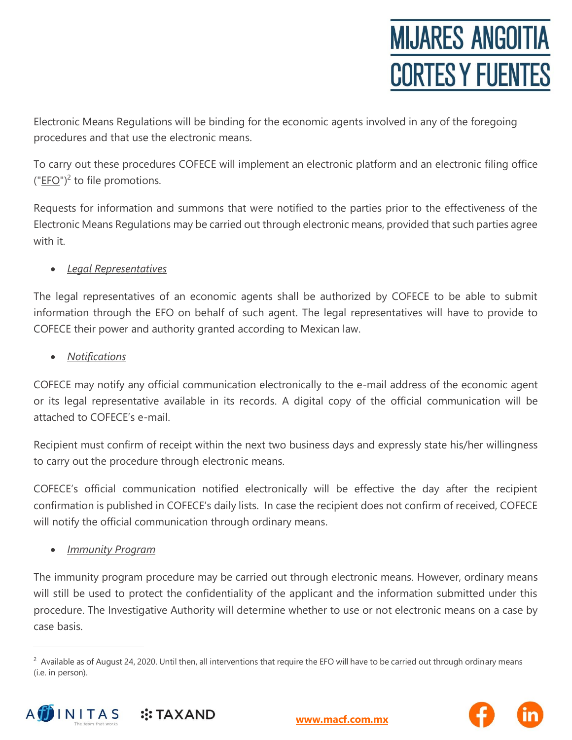Electronic Means Regulations will be binding for the economic agents involved in any of the foregoing procedures and that use the electronic means.

To carry out these procedures COFECE will implement an electronic platform and an electronic filing office  $("EFO")^2$  to file promotions.

Requests for information and summons that were notified to the parties prior to the effectiveness of the Electronic Means Regulations may be carried out through electronic means, provided that such parties agree with it.

#### • *Legal Representatives*

The legal representatives of an economic agents shall be authorized by COFECE to be able to submit information through the EFO on behalf of such agent. The legal representatives will have to provide to COFECE their power and authority granted according to Mexican law.

• *Notifications*

COFECE may notify any official communication electronically to the e-mail address of the economic agent or its legal representative available in its records. A digital copy of the official communication will be attached to COFECE's e-mail.

Recipient must confirm of receipt within the next two business days and expressly state his/her willingness to carry out the procedure through electronic means.

COFECE's official communication notified electronically will be effective the day after the recipient confirmation is published in COFECE's daily lists. In case the recipient does not confirm of received, COFECE will notify the official communication through ordinary means.

• *Immunity Program*

The immunity program procedure may be carried out through electronic means. However, ordinary means will still be used to protect the confidentiality of the applicant and the information submitted under this procedure. The Investigative Authority will determine whether to use or not electronic means on a case by case basis.

<sup>&</sup>lt;sup>2</sup> Available as of August 24, 2020. Until then, all interventions that require the EFO will have to be carried out through ordinary means (i.e. in person).